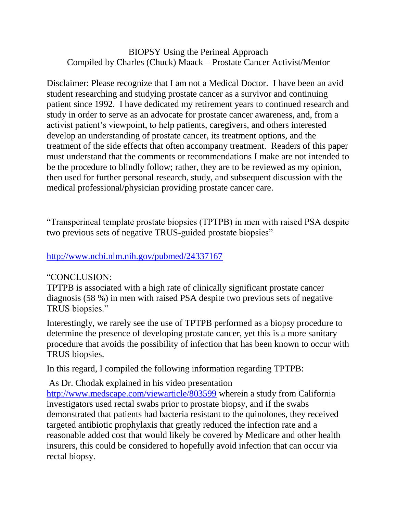## BIOPSY Using the Perineal Approach Compiled by Charles (Chuck) Maack – Prostate Cancer Activist/Mentor

Disclaimer: Please recognize that I am not a Medical Doctor. I have been an avid student researching and studying prostate cancer as a survivor and continuing patient since 1992. I have dedicated my retirement years to continued research and study in order to serve as an advocate for prostate cancer awareness, and, from a activist patient's viewpoint, to help patients, caregivers, and others interested develop an understanding of prostate cancer, its treatment options, and the treatment of the side effects that often accompany treatment. Readers of this paper must understand that the comments or recommendations I make are not intended to be the procedure to blindly follow; rather, they are to be reviewed as my opinion, then used for further personal research, study, and subsequent discussion with the medical professional/physician providing prostate cancer care.

"Transperineal template prostate biopsies (TPTPB) in men with raised PSA despite two previous sets of negative TRUS-guided prostate biopsies"

## <http://www.ncbi.nlm.nih.gov/pubmed/24337167>

## "CONCLUSION:

TPTPB is associated with a high rate of clinically significant prostate cancer diagnosis (58 %) in men with raised PSA despite two previous sets of negative TRUS biopsies."

Interestingly, we rarely see the use of TPTPB performed as a biopsy procedure to determine the presence of developing prostate cancer, yet this is a more sanitary procedure that avoids the possibility of infection that has been known to occur with TRUS biopsies.

In this regard, I compiled the following information regarding TPTPB:

As Dr. Chodak explained in his video presentation

<http://www.medscape.com/viewarticle/803599> wherein a study from California investigators used rectal swabs prior to prostate biopsy, and if the swabs demonstrated that patients had bacteria resistant to the quinolones, they received targeted antibiotic prophylaxis that greatly reduced the infection rate and a reasonable added cost that would likely be covered by Medicare and other health insurers, this could be considered to hopefully avoid infection that can occur via rectal biopsy.